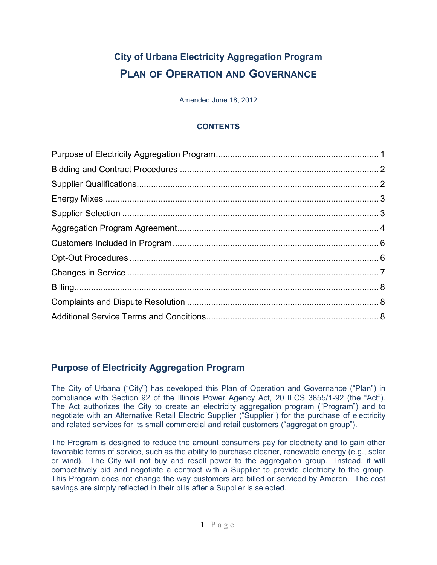# **City of Urbana Electricity Aggregation Program PLAN OF OPERATION AND GOVERNANCE**

Amended June 18, 2012

#### **CONTENTS**

# <span id="page-0-0"></span>**Purpose of Electricity Aggregation Program**

The City of Urbana ("City") has developed this Plan of Operation and Governance ("Plan") in compliance with Section 92 of the Illinois Power Agency Act, 20 ILCS 3855/1-92 (the "Act"). The Act authorizes the City to create an electricity aggregation program ("Program") and to negotiate with an Alternative Retail Electric Supplier ("Supplier") for the purchase of electricity and related services for its small commercial and retail customers ("aggregation group").

The Program is designed to reduce the amount consumers pay for electricity and to gain other favorable terms of service, such as the ability to purchase cleaner, renewable energy (e.g., solar or wind). The City will not buy and resell power to the aggregation group. Instead, it will competitively bid and negotiate a contract with a Supplier to provide electricity to the group. This Program does not change the way customers are billed or serviced by Ameren. The cost savings are simply reflected in their bills after a Supplier is selected.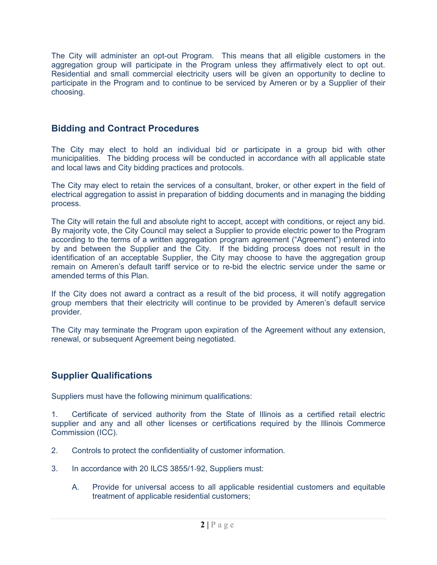The City will administer an opt-out Program. This means that all eligible customers in the aggregation group will participate in the Program unless they affirmatively elect to opt out. Residential and small commercial electricity users will be given an opportunity to decline to participate in the Program and to continue to be serviced by Ameren or by a Supplier of their choosing.

## <span id="page-1-0"></span>**Bidding and Contract Procedures**

The City may elect to hold an individual bid or participate in a group bid with other municipalities. The bidding process will be conducted in accordance with all applicable state and local laws and City bidding practices and protocols.

The City may elect to retain the services of a consultant, broker, or other expert in the field of electrical aggregation to assist in preparation of bidding documents and in managing the bidding process.

The City will retain the full and absolute right to accept, accept with conditions, or reject any bid. By majority vote, the City Council may select a Supplier to provide electric power to the Program according to the terms of a written aggregation program agreement ("Agreement") entered into by and between the Supplier and the City. If the bidding process does not result in the identification of an acceptable Supplier, the City may choose to have the aggregation group remain on Ameren's default tariff service or to re-bid the electric service under the same or amended terms of this Plan.

If the City does not award a contract as a result of the bid process, it will notify aggregation group members that their electricity will continue to be provided by Ameren's default service provider.

The City may terminate the Program upon expiration of the Agreement without any extension, renewal, or subsequent Agreement being negotiated.

#### <span id="page-1-1"></span>**Supplier Qualifications**

Suppliers must have the following minimum qualifications:

1. Certificate of serviced authority from the State of Illinois as a certified retail electric supplier and any and all other licenses or certifications required by the Illinois Commerce Commission (ICC).

- 2. Controls to protect the confidentiality of customer information.
- 3. In accordance with 20 ILCS 3855/1‐92, Suppliers must:
	- A. Provide for universal access to all applicable residential customers and equitable treatment of applicable residential customers;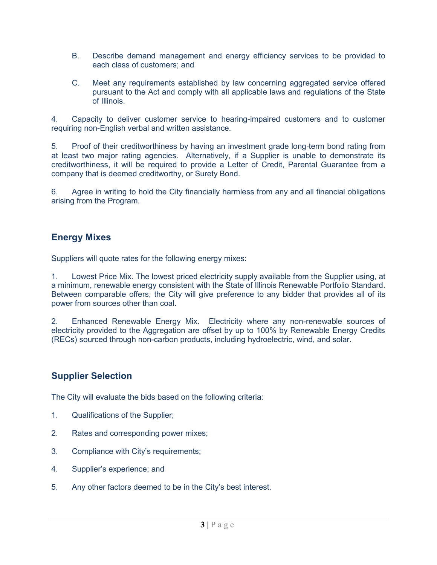- B. Describe demand management and energy efficiency services to be provided to each class of customers; and
- C. Meet any requirements established by law concerning aggregated service offered pursuant to the Act and comply with all applicable laws and regulations of the State of Illinois.

4. Capacity to deliver customer service to hearing-impaired customers and to customer requiring non-English verbal and written assistance.

5. Proof of their creditworthiness by having an investment grade long-term bond rating from at least two major rating agencies. Alternatively, if a Supplier is unable to demonstrate its creditworthiness, it will be required to provide a Letter of Credit, Parental Guarantee from a company that is deemed creditworthy, or Surety Bond.

6. Agree in writing to hold the City financially harmless from any and all financial obligations arising from the Program.

#### <span id="page-2-0"></span>**Energy Mixes**

Suppliers will quote rates for the following energy mixes:

1. Lowest Price Mix. The lowest priced electricity supply available from the Supplier using, at a minimum, renewable energy consistent with the State of Illinois Renewable Portfolio Standard. Between comparable offers, the City will give preference to any bidder that provides all of its power from sources other than coal.

2. Enhanced Renewable Energy Mix. Electricity where any non-renewable sources of electricity provided to the Aggregation are offset by up to 100% by Renewable Energy Credits (RECs) sourced through non-carbon products, including hydroelectric, wind, and solar.

## <span id="page-2-1"></span>**Supplier Selection**

The City will evaluate the bids based on the following criteria:

- 1. Qualifications of the Supplier;
- 2. Rates and corresponding power mixes;
- 3. Compliance with City's requirements;
- 4. Supplier's experience; and
- 5. Any other factors deemed to be in the City's best interest.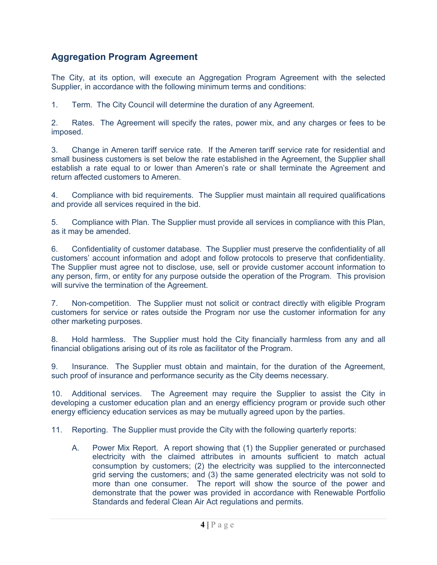# <span id="page-3-0"></span>**Aggregation Program Agreement**

The City, at its option, will execute an Aggregation Program Agreement with the selected Supplier, in accordance with the following minimum terms and conditions:

1. Term. The City Council will determine the duration of any Agreement.

2. Rates. The Agreement will specify the rates, power mix, and any charges or fees to be imposed.

3. Change in Ameren tariff service rate. If the Ameren tariff service rate for residential and small business customers is set below the rate established in the Agreement, the Supplier shall establish a rate equal to or lower than Ameren's rate or shall terminate the Agreement and return affected customers to Ameren.

4. Compliance with bid requirements. The Supplier must maintain all required qualifications and provide all services required in the bid.

5. Compliance with Plan. The Supplier must provide all services in compliance with this Plan, as it may be amended.

6. Confidentiality of customer database. The Supplier must preserve the confidentiality of all customers' account information and adopt and follow protocols to preserve that confidentiality. The Supplier must agree not to disclose, use, sell or provide customer account information to any person, firm, or entity for any purpose outside the operation of the Program. This provision will survive the termination of the Agreement.

7. Non-competition. The Supplier must not solicit or contract directly with eligible Program customers for service or rates outside the Program nor use the customer information for any other marketing purposes.

8. Hold harmless. The Supplier must hold the City financially harmless from any and all financial obligations arising out of its role as facilitator of the Program.

9. Insurance. The Supplier must obtain and maintain, for the duration of the Agreement, such proof of insurance and performance security as the City deems necessary.

10. Additional services. The Agreement may require the Supplier to assist the City in developing a customer education plan and an energy efficiency program or provide such other energy efficiency education services as may be mutually agreed upon by the parties.

11. Reporting. The Supplier must provide the City with the following quarterly reports:

A. Power Mix Report. A report showing that (1) the Supplier generated or purchased electricity with the claimed attributes in amounts sufficient to match actual consumption by customers; (2) the electricity was supplied to the interconnected grid serving the customers; and (3) the same generated electricity was not sold to more than one consumer. The report will show the source of the power and demonstrate that the power was provided in accordance with Renewable Portfolio Standards and federal Clean Air Act regulations and permits.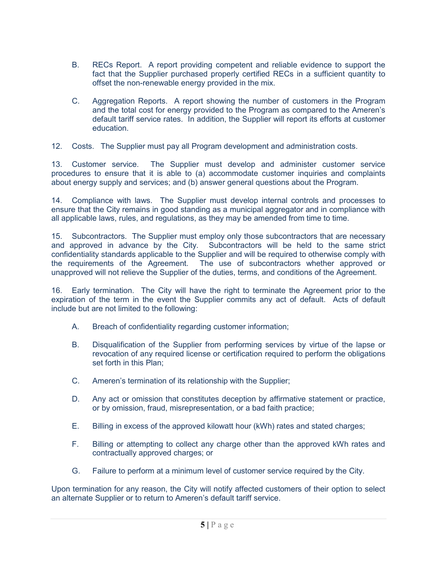- B. RECs Report. A report providing competent and reliable evidence to support the fact that the Supplier purchased properly certified RECs in a sufficient quantity to offset the non-renewable energy provided in the mix.
- C. Aggregation Reports. A report showing the number of customers in the Program and the total cost for energy provided to the Program as compared to the Ameren's default tariff service rates. In addition, the Supplier will report its efforts at customer education.

12. Costs. The Supplier must pay all Program development and administration costs.

13. Customer service. The Supplier must develop and administer customer service procedures to ensure that it is able to (a) accommodate customer inquiries and complaints about energy supply and services; and (b) answer general questions about the Program.

14. Compliance with laws. The Supplier must develop internal controls and processes to ensure that the City remains in good standing as a municipal aggregator and in compliance with all applicable laws, rules, and regulations, as they may be amended from time to time.

15. Subcontractors. The Supplier must employ only those subcontractors that are necessary and approved in advance by the City. Subcontractors will be held to the same strict confidentiality standards applicable to the Supplier and will be required to otherwise comply with the requirements of the Agreement. The use of subcontractors whether approved or unapproved will not relieve the Supplier of the duties, terms, and conditions of the Agreement.

16. Early termination. The City will have the right to terminate the Agreement prior to the expiration of the term in the event the Supplier commits any act of default. Acts of default include but are not limited to the following:

- A. Breach of confidentiality regarding customer information;
- B. Disqualification of the Supplier from performing services by virtue of the lapse or revocation of any required license or certification required to perform the obligations set forth in this Plan;
- C. Ameren's termination of its relationship with the Supplier;
- D. Any act or omission that constitutes deception by affirmative statement or practice, or by omission, fraud, misrepresentation, or a bad faith practice;
- E. Billing in excess of the approved kilowatt hour (kWh) rates and stated charges;
- F. Billing or attempting to collect any charge other than the approved kWh rates and contractually approved charges; or
- G. Failure to perform at a minimum level of customer service required by the City.

Upon termination for any reason, the City will notify affected customers of their option to select an alternate Supplier or to return to Ameren's default tariff service.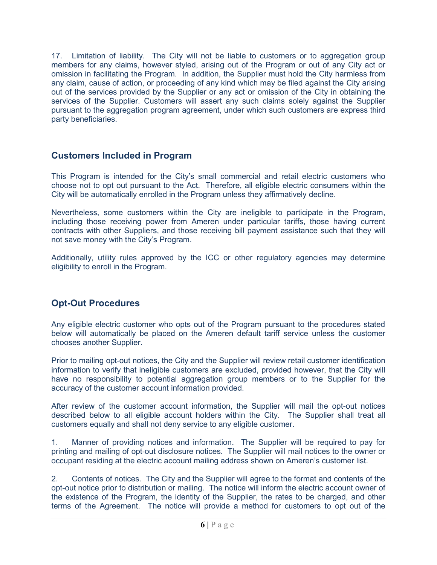17. Limitation of liability. The City will not be liable to customers or to aggregation group members for any claims, however styled, arising out of the Program or out of any City act or omission in facilitating the Program. In addition, the Supplier must hold the City harmless from any claim, cause of action, or proceeding of any kind which may be filed against the City arising out of the services provided by the Supplier or any act or omission of the City in obtaining the services of the Supplier. Customers will assert any such claims solely against the Supplier pursuant to the aggregation program agreement, under which such customers are express third party beneficiaries.

## <span id="page-5-0"></span>**Customers Included in Program**

This Program is intended for the City's small commercial and retail electric customers who choose not to opt out pursuant to the Act. Therefore, all eligible electric consumers within the City will be automatically enrolled in the Program unless they affirmatively decline.

Nevertheless, some customers within the City are ineligible to participate in the Program, including those receiving power from Ameren under particular tariffs, those having current contracts with other Suppliers, and those receiving bill payment assistance such that they will not save money with the City's Program.

Additionally, utility rules approved by the ICC or other regulatory agencies may determine eligibility to enroll in the Program.

# <span id="page-5-1"></span>**Opt-Out Procedures**

Any eligible electric customer who opts out of the Program pursuant to the procedures stated below will automatically be placed on the Ameren default tariff service unless the customer chooses another Supplier.

Prior to mailing opt-out notices, the City and the Supplier will review retail customer identification information to verify that ineligible customers are excluded, provided however, that the City will have no responsibility to potential aggregation group members or to the Supplier for the accuracy of the customer account information provided.

After review of the customer account information, the Supplier will mail the opt-out notices described below to all eligible account holders within the City. The Supplier shall treat all customers equally and shall not deny service to any eligible customer.

1. Manner of providing notices and information. The Supplier will be required to pay for printing and mailing of opt‐out disclosure notices. The Supplier will mail notices to the owner or occupant residing at the electric account mailing address shown on Ameren's customer list.

2. Contents of notices. The City and the Supplier will agree to the format and contents of the opt-out notice prior to distribution or mailing. The notice will inform the electric account owner of the existence of the Program, the identity of the Supplier, the rates to be charged, and other terms of the Agreement. The notice will provide a method for customers to opt out of the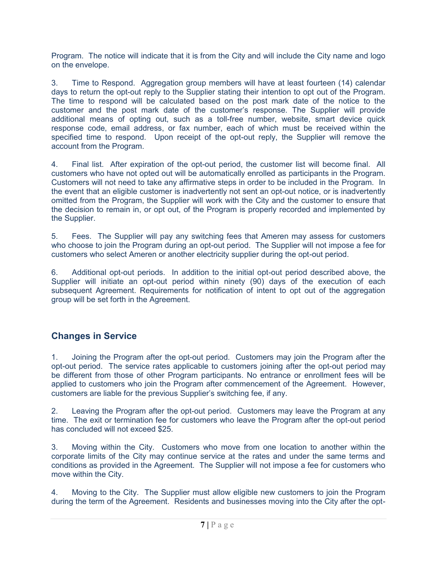Program. The notice will indicate that it is from the City and will include the City name and logo on the envelope.

3. Time to Respond. Aggregation group members will have at least fourteen (14) calendar days to return the opt-out reply to the Supplier stating their intention to opt out of the Program. The time to respond will be calculated based on the post mark date of the notice to the customer and the post mark date of the customer's response. The Supplier will provide additional means of opting out, such as a toll-free number, website, smart device quick response code, email address, or fax number, each of which must be received within the specified time to respond. Upon receipt of the opt-out reply, the Supplier will remove the account from the Program.

4. Final list. After expiration of the opt-out period, the customer list will become final. All customers who have not opted out will be automatically enrolled as participants in the Program. Customers will not need to take any affirmative steps in order to be included in the Program. In the event that an eligible customer is inadvertently not sent an opt-out notice, or is inadvertently omitted from the Program, the Supplier will work with the City and the customer to ensure that the decision to remain in, or opt out, of the Program is properly recorded and implemented by the Supplier.

5. Fees. The Supplier will pay any switching fees that Ameren may assess for customers who choose to join the Program during an opt-out period. The Supplier will not impose a fee for customers who select Ameren or another electricity supplier during the opt-out period.

6. Additional opt-out periods. In addition to the initial opt-out period described above, the Supplier will initiate an opt-out period within ninety (90) days of the execution of each subsequent Agreement. Requirements for notification of intent to opt out of the aggregation group will be set forth in the Agreement.

# <span id="page-6-0"></span>**Changes in Service**

1. Joining the Program after the opt-out period. Customers may join the Program after the opt-out period. The service rates applicable to customers joining after the opt-out period may be different from those of other Program participants. No entrance or enrollment fees will be applied to customers who join the Program after commencement of the Agreement. However, customers are liable for the previous Supplier's switching fee, if any.

2. Leaving the Program after the opt-out period. Customers may leave the Program at any time. The exit or termination fee for customers who leave the Program after the opt-out period has concluded will not exceed \$25.

3. Moving within the City. Customers who move from one location to another within the corporate limits of the City may continue service at the rates and under the same terms and conditions as provided in the Agreement. The Supplier will not impose a fee for customers who move within the City.

4. Moving to the City. The Supplier must allow eligible new customers to join the Program during the term of the Agreement. Residents and businesses moving into the City after the opt